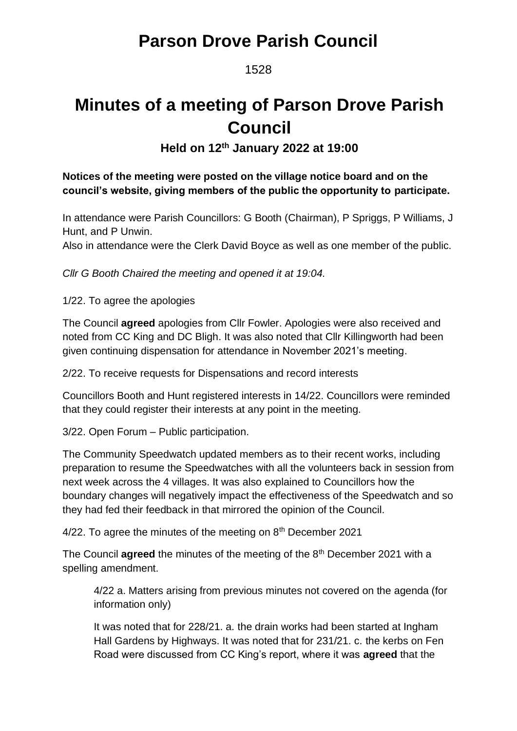1528

# **Minutes of a meeting of Parson Drove Parish Council**

**Held on 12th January 2022 at 19:00**

### **Notices of the meeting were posted on the village notice board and on the council's website, giving members of the public the opportunity to participate.**

In attendance were Parish Councillors: G Booth (Chairman), P Spriggs, P Williams, J Hunt, and P Unwin.

Also in attendance were the Clerk David Boyce as well as one member of the public.

*Cllr G Booth Chaired the meeting and opened it at 19:04.*

1/22. To agree the apologies

The Council **agreed** apologies from Cllr Fowler. Apologies were also received and noted from CC King and DC Bligh. It was also noted that Cllr Killingworth had been given continuing dispensation for attendance in November 2021's meeting.

2/22. To receive requests for Dispensations and record interests

Councillors Booth and Hunt registered interests in 14/22. Councillors were reminded that they could register their interests at any point in the meeting.

3/22. Open Forum – Public participation.

The Community Speedwatch updated members as to their recent works, including preparation to resume the Speedwatches with all the volunteers back in session from next week across the 4 villages. It was also explained to Councillors how the boundary changes will negatively impact the effectiveness of the Speedwatch and so they had fed their feedback in that mirrored the opinion of the Council.

 $4/22$ . To agree the minutes of the meeting on  $8<sup>th</sup>$  December 2021

The Council **agreed** the minutes of the meeting of the 8<sup>th</sup> December 2021 with a spelling amendment.

4/22 a. Matters arising from previous minutes not covered on the agenda (for information only)

It was noted that for 228/21. a. the drain works had been started at Ingham Hall Gardens by Highways. It was noted that for 231/21. c. the kerbs on Fen Road were discussed from CC King's report, where it was **agreed** that the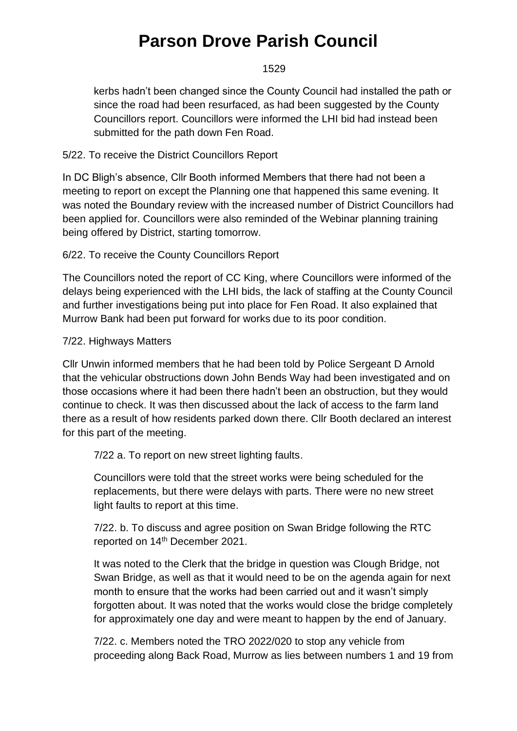#### 1529

kerbs hadn't been changed since the County Council had installed the path or since the road had been resurfaced, as had been suggested by the County Councillors report. Councillors were informed the LHI bid had instead been submitted for the path down Fen Road.

### 5/22. To receive the District Councillors Report

In DC Bligh's absence, Cllr Booth informed Members that there had not been a meeting to report on except the Planning one that happened this same evening. It was noted the Boundary review with the increased number of District Councillors had been applied for. Councillors were also reminded of the Webinar planning training being offered by District, starting tomorrow.

### 6/22. To receive the County Councillors Report

The Councillors noted the report of CC King, where Councillors were informed of the delays being experienced with the LHI bids, the lack of staffing at the County Council and further investigations being put into place for Fen Road. It also explained that Murrow Bank had been put forward for works due to its poor condition.

#### 7/22. Highways Matters

Cllr Unwin informed members that he had been told by Police Sergeant D Arnold that the vehicular obstructions down John Bends Way had been investigated and on those occasions where it had been there hadn't been an obstruction, but they would continue to check. It was then discussed about the lack of access to the farm land there as a result of how residents parked down there. Cllr Booth declared an interest for this part of the meeting.

7/22 a. To report on new street lighting faults.

Councillors were told that the street works were being scheduled for the replacements, but there were delays with parts. There were no new street light faults to report at this time.

7/22. b. To discuss and agree position on Swan Bridge following the RTC reported on 14<sup>th</sup> December 2021.

It was noted to the Clerk that the bridge in question was Clough Bridge, not Swan Bridge, as well as that it would need to be on the agenda again for next month to ensure that the works had been carried out and it wasn't simply forgotten about. It was noted that the works would close the bridge completely for approximately one day and were meant to happen by the end of January.

7/22. c. Members noted the TRO 2022/020 to stop any vehicle from proceeding along Back Road, Murrow as lies between numbers 1 and 19 from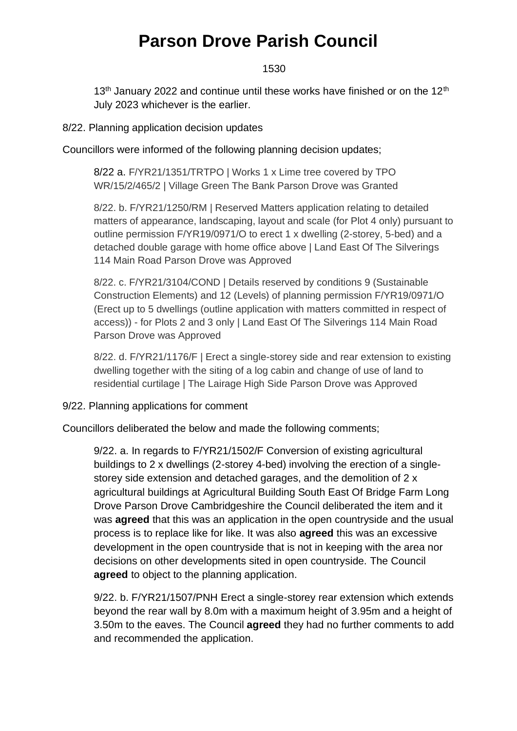1530

13<sup>th</sup> January 2022 and continue until these works have finished or on the 12<sup>th</sup> July 2023 whichever is the earlier.

8/22. Planning application decision updates

Councillors were informed of the following planning decision updates;

8/22 a. F/YR21/1351/TRTPO | Works 1 x Lime tree covered by TPO WR/15/2/465/2 | Village Green The Bank Parson Drove was Granted

8/22. b. F/YR21/1250/RM | Reserved Matters application relating to detailed matters of appearance, landscaping, layout and scale (for Plot 4 only) pursuant to outline permission F/YR19/0971/O to erect 1 x dwelling (2-storey, 5-bed) and a detached double garage with home office above | Land East Of The Silverings 114 Main Road Parson Drove was Approved

8/22. c. F/YR21/3104/COND | Details reserved by conditions 9 (Sustainable Construction Elements) and 12 (Levels) of planning permission F/YR19/0971/O (Erect up to 5 dwellings (outline application with matters committed in respect of access)) - for Plots 2 and 3 only | Land East Of The Silverings 114 Main Road Parson Drove was Approved

8/22. d. F/YR21/1176/F | Erect a single-storey side and rear extension to existing dwelling together with the siting of a log cabin and change of use of land to residential curtilage | The Lairage High Side Parson Drove was Approved

9/22. Planning applications for comment

Councillors deliberated the below and made the following comments;

9/22. a. In regards to F/YR21/1502/F Conversion of existing agricultural buildings to 2 x dwellings (2-storey 4-bed) involving the erection of a singlestorey side extension and detached garages, and the demolition of 2 x agricultural buildings at Agricultural Building South East Of Bridge Farm Long Drove Parson Drove Cambridgeshire the Council deliberated the item and it was **agreed** that this was an application in the open countryside and the usual process is to replace like for like. It was also **agreed** this was an excessive development in the open countryside that is not in keeping with the area nor decisions on other developments sited in open countryside. The Council **agreed** to object to the planning application.

9/22. b. F/YR21/1507/PNH [Erect a single-storey rear extension which](https://www.publicaccess.fenland.gov.uk/publicaccess/applicationDetails.do?keyVal=R47UZMHE0D800&activeTab=summary) extends [beyond the rear wall by 8.0m with a maximum height of 3.95m and a height of](https://www.publicaccess.fenland.gov.uk/publicaccess/applicationDetails.do?keyVal=R47UZMHE0D800&activeTab=summary)  [3.50m to the eaves.](https://www.publicaccess.fenland.gov.uk/publicaccess/applicationDetails.do?keyVal=R47UZMHE0D800&activeTab=summary) The Council **agreed** they had no further comments to add and recommended the application.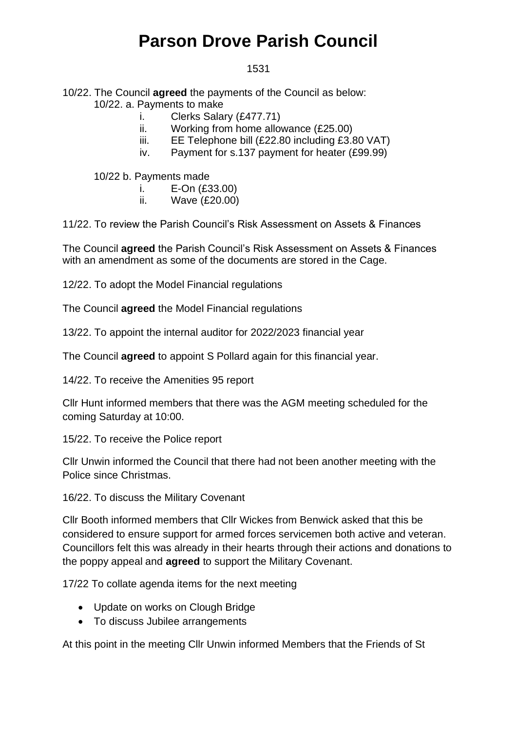#### 1531

#### 10/22. The Council **agreed** the payments of the Council as below: 10/22. a. Payments to make

- i. Clerks Salary (£477.71)
- ii. Working from home allowance (£25.00)
- iii. EE Telephone bill (£22.80 including £3.80 VAT)
- iv. Payment for s.137 payment for heater (£99.99)

10/22 b. Payments made

- i. E-On (£33.00)
- ii. Wave (£20.00)

11/22. To review the Parish Council's Risk Assessment on Assets & Finances

The Council **agreed** the Parish Council's Risk Assessment on Assets & Finances with an amendment as some of the documents are stored in the Cage.

12/22. To adopt the Model Financial regulations

The Council **agreed** the Model Financial regulations

13/22. To appoint the internal auditor for 2022/2023 financial year

The Council **agreed** to appoint S Pollard again for this financial year.

14/22. To receive the Amenities 95 report

Cllr Hunt informed members that there was the AGM meeting scheduled for the coming Saturday at 10:00.

15/22. To receive the Police report

Cllr Unwin informed the Council that there had not been another meeting with the Police since Christmas.

16/22. To discuss the Military Covenant

Cllr Booth informed members that Cllr Wickes from Benwick asked that this be considered to ensure support for armed forces servicemen both active and veteran. Councillors felt this was already in their hearts through their actions and donations to the poppy appeal and **agreed** to support the Military Covenant.

17/22 To collate agenda items for the next meeting

- Update on works on Clough Bridge
- To discuss Jubilee arrangements

At this point in the meeting Cllr Unwin informed Members that the Friends of St